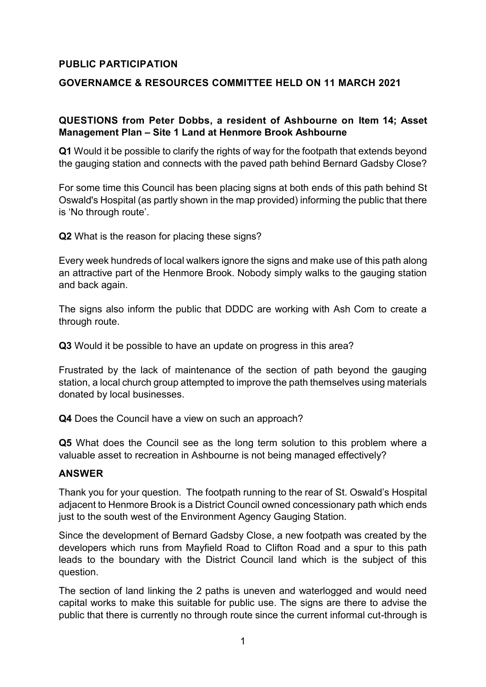## **PUBLIC PARTICIPATION**

## **GOVERNAMCE & RESOURCES COMMITTEE HELD ON 11 MARCH 2021**

## **QUESTIONS from Peter Dobbs, a resident of Ashbourne on Item 14; Asset Management Plan – Site 1 Land at Henmore Brook Ashbourne**

**Q1** Would it be possible to clarify the rights of way for the footpath that extends beyond the gauging station and connects with the paved path behind Bernard Gadsby Close?

For some time this Council has been placing signs at both ends of this path behind St Oswald's Hospital (as partly shown in the map provided) informing the public that there is 'No through route'.

**Q2** What is the reason for placing these signs?

Every week hundreds of local walkers ignore the signs and make use of this path along an attractive part of the Henmore Brook. Nobody simply walks to the gauging station and back again.

The signs also inform the public that DDDC are working with Ash Com to create a through route.

**Q3** Would it be possible to have an update on progress in this area?

Frustrated by the lack of maintenance of the section of path beyond the gauging station, a local church group attempted to improve the path themselves using materials donated by local businesses.

**Q4** Does the Council have a view on such an approach?

**Q5** What does the Council see as the long term solution to this problem where a valuable asset to recreation in Ashbourne is not being managed effectively?

## **ANSWER**

Thank you for your question. The footpath running to the rear of St. Oswald's Hospital adjacent to Henmore Brook is a District Council owned concessionary path which ends just to the south west of the Environment Agency Gauging Station.

Since the development of Bernard Gadsby Close, a new footpath was created by the developers which runs from Mayfield Road to Clifton Road and a spur to this path leads to the boundary with the District Council land which is the subject of this question.

The section of land linking the 2 paths is uneven and waterlogged and would need capital works to make this suitable for public use. The signs are there to advise the public that there is currently no through route since the current informal cut-through is